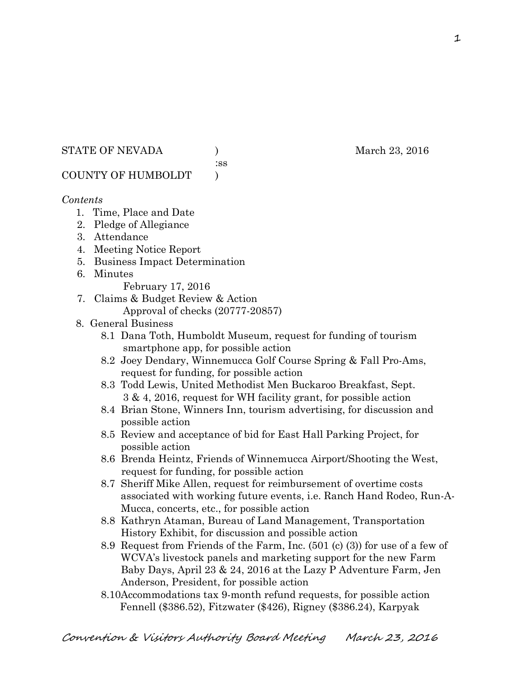#### STATE OF NEVADA (a) and the March 23, 2016

:ss

# COUNTY OF HUMBOLDT )

# *Contents*

- 1. Time, Place and Date
- 2. Pledge of Allegiance
- 3. Attendance
- 4. Meeting Notice Report
- 5. Business Impact Determination
- 6. Minutes
	- February 17, 2016
- 7. Claims & Budget Review & Action
	- Approval of checks (20777-20857)
- 8. General Business
	- 8.1 Dana Toth, Humboldt Museum, request for funding of tourism smartphone app, for possible action
	- 8.2 Joey Dendary, Winnemucca Golf Course Spring & Fall Pro-Ams, request for funding, for possible action
	- 8.3 Todd Lewis, United Methodist Men Buckaroo Breakfast, Sept. 3 & 4, 2016, request for WH facility grant, for possible action
	- 8.4 Brian Stone, Winners Inn, tourism advertising, for discussion and possible action
	- 8.5 Review and acceptance of bid for East Hall Parking Project, for possible action
	- 8.6 Brenda Heintz, Friends of Winnemucca Airport/Shooting the West, request for funding, for possible action
	- 8.7 Sheriff Mike Allen, request for reimbursement of overtime costs associated with working future events, i.e. Ranch Hand Rodeo, Run-A- Mucca, concerts, etc., for possible action
	- 8.8 Kathryn Ataman, Bureau of Land Management, Transportation History Exhibit, for discussion and possible action
	- 8.9 Request from Friends of the Farm, Inc. (501 (c) (3)) for use of a few of WCVA's livestock panels and marketing support for the new Farm Baby Days, April 23 & 24, 2016 at the Lazy P Adventure Farm, Jen Anderson, President, for possible action
	- 8.10Accommodations tax 9-month refund requests, for possible action Fennell (\$386.52), Fitzwater (\$426), Rigney (\$386.24), Karpyak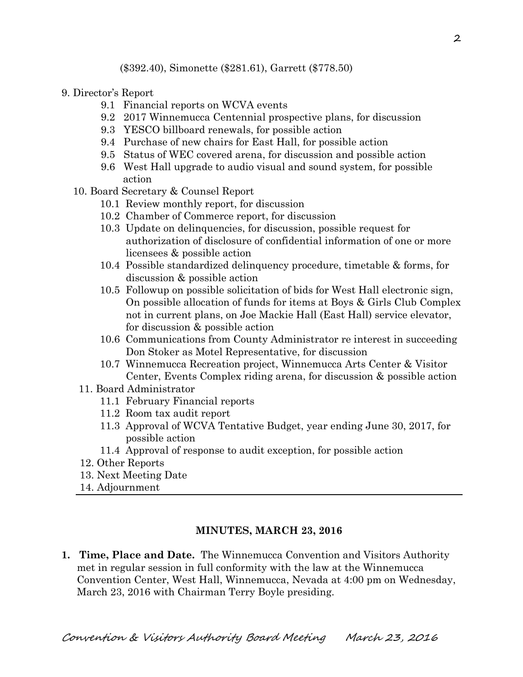- 9. Director's Report
	- 9.1 Financial reports on WCVA events
	- 9.2 2017 Winnemucca Centennial prospective plans, for discussion
	- 9.3 YESCO billboard renewals, for possible action
	- 9.4 Purchase of new chairs for East Hall, for possible action
	- 9.5 Status of WEC covered arena, for discussion and possible action
	- 9.6 West Hall upgrade to audio visual and sound system, for possible action
	- 10. Board Secretary & Counsel Report
		- 10.1 Review monthly report, for discussion
		- 10.2 Chamber of Commerce report, for discussion
		- 10.3 Update on delinquencies, for discussion, possible request for authorization of disclosure of confidential information of one or more licensees & possible action
		- 10.4 Possible standardized delinquency procedure, timetable & forms, for discussion & possible action
		- 10.5 Followup on possible solicitation of bids for West Hall electronic sign, On possible allocation of funds for items at Boys & Girls Club Complex not in current plans, on Joe Mackie Hall (East Hall) service elevator, for discussion & possible action
		- 10.6 Communications from County Administrator re interest in succeeding Don Stoker as Motel Representative, for discussion
		- 10.7 Winnemucca Recreation project, Winnemucca Arts Center & Visitor Center, Events Complex riding arena, for discussion & possible action
		- 11. Board Administrator
			- 11.1 February Financial reports
			- 11.2 Room tax audit report
			- 11.3 Approval of WCVA Tentative Budget, year ending June 30, 2017, for possible action
			- 11.4 Approval of response to audit exception, for possible action
		- 12. Other Reports
		- 13. Next Meeting Date
	- 14. Adjournment

#### **MINUTES, MARCH 23, 2016**

**1. Time, Place and Date.** The Winnemucca Convention and Visitors Authority met in regular session in full conformity with the law at the Winnemucca Convention Center, West Hall, Winnemucca, Nevada at 4:00 pm on Wednesday, March 23, 2016 with Chairman Terry Boyle presiding.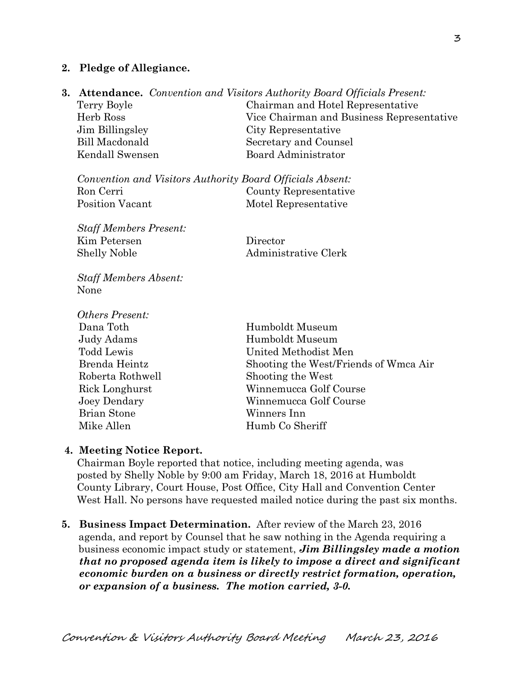#### **2. Pledge of Allegiance.**

**3. Attendance.** *Convention and Visitors Authority Board Officials Present:* 

Terry Boyle Chairman and Hotel Representative Herb Ross Vice Chairman and Business Representative Jim Billingsley City Representative Bill Macdonald Secretary and Counsel Kendall Swensen Board Administrator

*Convention and Visitors Authority Board Officials Absent:*  Ron Cerri County Representative Position Vacant Motel Representative

*Staff Members Present:*  Kim Petersen Director Shelly Noble Administrative Clerk

*Staff Members Absent:*  None

*Others Present:*  Brian Stone Winners Inn Mike Allen Humb Co Sheriff

Dana Toth Humboldt Museum Judy Adams **Humboldt Museum**  Todd Lewis United Methodist Men Brenda Heintz Shooting the West/Friends of Wmca Air Roberta Rothwell Shooting the West Rick Longhurst Winnemucca Golf Course Joey Dendary Winnemucca Golf Course

#### **4. Meeting Notice Report.**

Chairman Boyle reported that notice, including meeting agenda, was posted by Shelly Noble by 9:00 am Friday, March 18, 2016 at Humboldt County Library, Court House, Post Office, City Hall and Convention Center West Hall. No persons have requested mailed notice during the past six months.

**5. Business Impact Determination.** After review of the March 23, 2016 agenda, and report by Counsel that he saw nothing in the Agenda requiring a business economic impact study or statement, *Jim Billingsley made a motion that no proposed agenda item is likely to impose a direct and significant economic burden on a business or directly restrict formation, operation, or expansion of a business. The motion carried, 3-0.*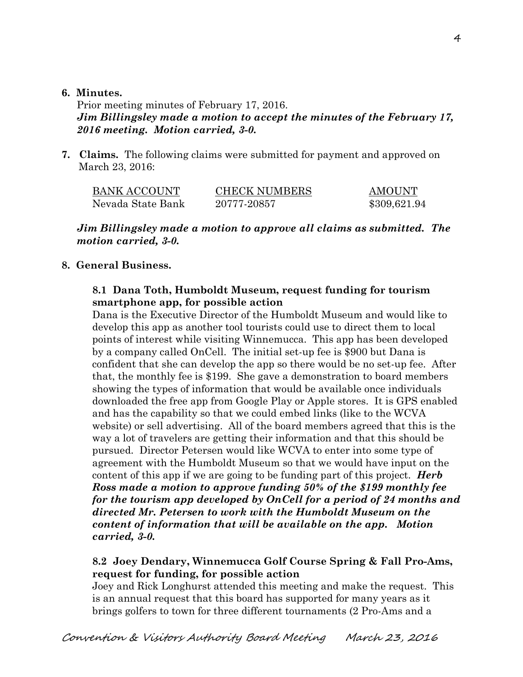#### **6. Minutes.**

Prior meeting minutes of February 17, 2016. *Jim Billingsley made a motion to accept the minutes of the February 17, 2016 meeting. Motion carried, 3-0.* 

**7. Claims.** The following claims were submitted for payment and approved on March 23, 2016:

| <b>BANK ACCOUNT</b> | <b>CHECK NUMBERS</b> | <b>AMOUNT</b> |
|---------------------|----------------------|---------------|
| Nevada State Bank   | 20777-20857          | \$309,621.94  |

#### *Jim Billingsley made a motion to approve all claims as submitted. The motion carried, 3-0.*

## **8. General Business.**

## **8.1 Dana Toth, Humboldt Museum, request funding for tourism smartphone app, for possible action**

Dana is the Executive Director of the Humboldt Museum and would like to develop this app as another tool tourists could use to direct them to local points of interest while visiting Winnemucca. This app has been developed by a company called OnCell. The initial set-up fee is \$900 but Dana is confident that she can develop the app so there would be no set-up fee. After that, the monthly fee is \$199. She gave a demonstration to board members showing the types of information that would be available once individuals downloaded the free app from Google Play or Apple stores. It is GPS enabled and has the capability so that we could embed links (like to the WCVA website) or sell advertising. All of the board members agreed that this is the way a lot of travelers are getting their information and that this should be pursued. Director Petersen would like WCVA to enter into some type of agreement with the Humboldt Museum so that we would have input on the content of this app if we are going to be funding part of this project. *Herb Ross made a motion to approve funding 50% of the \$199 monthly fee for the tourism app developed by OnCell for a period of 24 months and directed Mr. Petersen to work with the Humboldt Museum on the content of information that will be available on the app. Motion carried, 3-0.*

## **8.2 Joey Dendary, Winnemucca Golf Course Spring & Fall Pro-Ams, request for funding, for possible action**

Joey and Rick Longhurst attended this meeting and make the request. This is an annual request that this board has supported for many years as it brings golfers to town for three different tournaments (2 Pro-Ams and a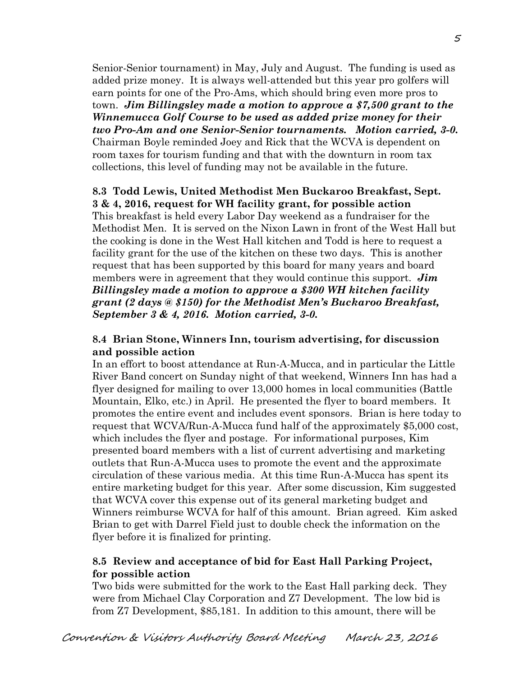Senior-Senior tournament) in May, July and August. The funding is used as added prize money. It is always well-attended but this year pro golfers will earn points for one of the Pro-Ams, which should bring even more pros to town. *Jim Billingsley made a motion to approve a \$7,500 grant to the Winnemucca Golf Course to be used as added prize money for their two Pro-Am and one Senior-Senior tournaments. Motion carried, 3-0.*  Chairman Boyle reminded Joey and Rick that the WCVA is dependent on room taxes for tourism funding and that with the downturn in room tax collections, this level of funding may not be available in the future.

## **8.3 Todd Lewis, United Methodist Men Buckaroo Breakfast, Sept. 3 & 4, 2016, request for WH facility grant, for possible action**

 This breakfast is held every Labor Day weekend as a fundraiser for the Methodist Men. It is served on the Nixon Lawn in front of the West Hall but the cooking is done in the West Hall kitchen and Todd is here to request a facility grant for the use of the kitchen on these two days. This is another request that has been supported by this board for many years and board members were in agreement that they would continue this support. *Jim Billingsley made a motion to approve a \$300 WH kitchen facility grant (2 days @ \$150) for the Methodist Men's Buckaroo Breakfast, September 3 & 4, 2016. Motion carried, 3-0.*

## **8.4 Brian Stone, Winners Inn, tourism advertising, for discussion and possible action**

In an effort to boost attendance at Run-A-Mucca, and in particular the Little River Band concert on Sunday night of that weekend, Winners Inn has had a flyer designed for mailing to over 13,000 homes in local communities (Battle Mountain, Elko, etc.) in April. He presented the flyer to board members. It promotes the entire event and includes event sponsors. Brian is here today to request that WCVA/Run-A-Mucca fund half of the approximately \$5,000 cost, which includes the flyer and postage. For informational purposes, Kim presented board members with a list of current advertising and marketing outlets that Run-A-Mucca uses to promote the event and the approximate circulation of these various media. At this time Run-A-Mucca has spent its entire marketing budget for this year. After some discussion, Kim suggested that WCVA cover this expense out of its general marketing budget and Winners reimburse WCVA for half of this amount. Brian agreed. Kim asked Brian to get with Darrel Field just to double check the information on the flyer before it is finalized for printing.

## **8.5 Review and acceptance of bid for East Hall Parking Project, for possible action**

Two bids were submitted for the work to the East Hall parking deck. They were from Michael Clay Corporation and Z7 Development. The low bid is from Z7 Development, \$85,181. In addition to this amount, there will be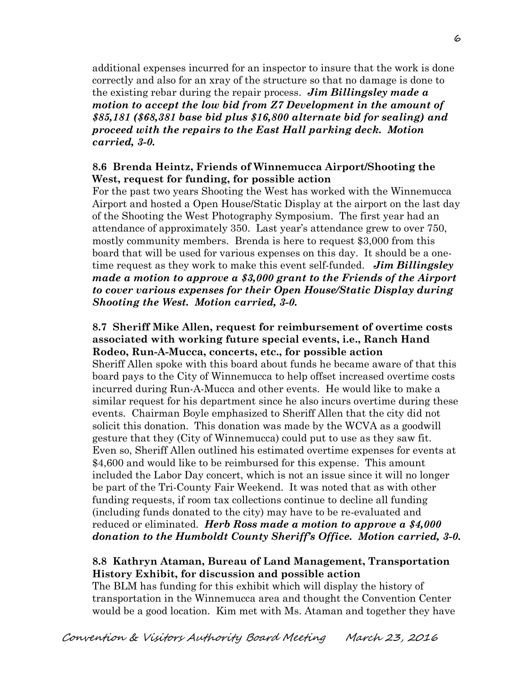additional expenses incurred for an inspector to insure that the work is done correctly and also for an xray of the structure so that no damage is done to the existing rebar during the repair process. *Jim Billingsley made a motion to accept the low bid from Z7 Development in the amount of \$85,181 (\$68,381 base bid plus \$16,800 alternate bid for sealing) and proceed with the repairs to the East Hall parking deck. Motion carried, 3-0.* 

## **8.6 Brenda Heintz, Friends of Winnemucca Airport/Shooting the West, request for funding, for possible action**

For the past two years Shooting the West has worked with the Winnemucca Airport and hosted a Open House/Static Display at the airport on the last day of the Shooting the West Photography Symposium. The first year had an attendance of approximately 350. Last year's attendance grew to over 750, mostly community members. Brenda is here to request \$3,000 from this board that will be used for various expenses on this day. It should be a onetime request as they work to make this event self-funded. *Jim Billingsley made a motion to approve a \$3,000 grant to the Friends of the Airport to cover various expenses for their Open House/Static Display during Shooting the West. Motion carried, 3-0.* 

#### **8.7 Sheriff Mike Allen, request for reimbursement of overtime costs associated with working future special events, i.e., Ranch Hand Rodeo, Run-A-Mucca, concerts, etc., for possible action**

Sheriff Allen spoke with this board about funds he became aware of that this board pays to the City of Winnemucca to help offset increased overtime costs incurred during Run-A-Mucca and other events. He would like to make a similar request for his department since he also incurs overtime during these events. Chairman Boyle emphasized to Sheriff Allen that the city did not solicit this donation. This donation was made by the WCVA as a goodwill gesture that they (City of Winnemucca) could put to use as they saw fit. Even so, Sheriff Allen outlined his estimated overtime expenses for events at \$4,600 and would like to be reimbursed for this expense. This amount included the Labor Day concert, which is not an issue since it will no longer be part of the Tri-County Fair Weekend. It was noted that as with other funding requests, if room tax collections continue to decline all funding (including funds donated to the city) may have to be re-evaluated and reduced or eliminated. *Herb Ross made a motion to approve a \$4,000 donation to the Humboldt County Sheriff's Office. Motion carried, 3-0.* 

## **8.8 Kathryn Ataman, Bureau of Land Management, Transportation History Exhibit, for discussion and possible action**

The BLM has funding for this exhibit which will display the history of transportation in the Winnemucca area and thought the Convention Center would be a good location. Kim met with Ms. Ataman and together they have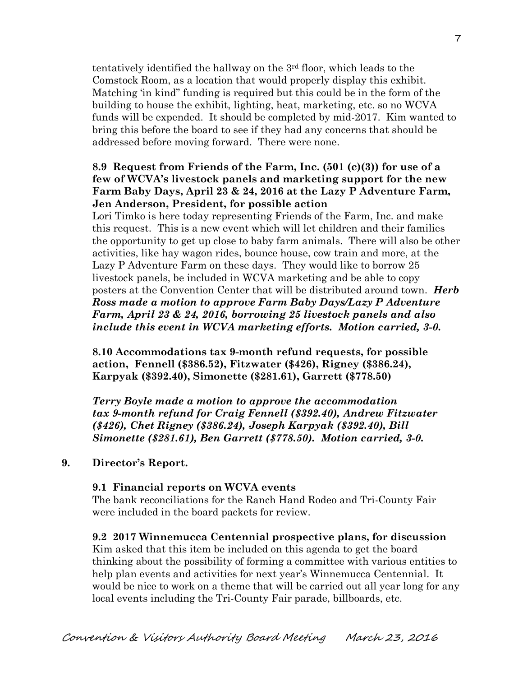tentatively identified the hallway on the 3rd floor, which leads to the Comstock Room, as a location that would properly display this exhibit. Matching 'in kind" funding is required but this could be in the form of the building to house the exhibit, lighting, heat, marketing, etc. so no WCVA funds will be expended. It should be completed by mid-2017. Kim wanted to bring this before the board to see if they had any concerns that should be addressed before moving forward. There were none.

### **8.9 Request from Friends of the Farm, Inc. (501 (c)(3)) for use of a few of WCVA's livestock panels and marketing support for the new Farm Baby Days, April 23 & 24, 2016 at the Lazy P Adventure Farm, Jen Anderson, President, for possible action**

Lori Timko is here today representing Friends of the Farm, Inc. and make this request. This is a new event which will let children and their families the opportunity to get up close to baby farm animals. There will also be other activities, like hay wagon rides, bounce house, cow train and more, at the Lazy P Adventure Farm on these days. They would like to borrow 25 livestock panels, be included in WCVA marketing and be able to copy posters at the Convention Center that will be distributed around town. *Herb Ross made a motion to approve Farm Baby Days/Lazy P Adventure Farm, April 23 & 24, 2016, borrowing 25 livestock panels and also include this event in WCVA marketing efforts. Motion carried, 3-0.* 

**8.10 Accommodations tax 9-month refund requests, for possible action, Fennell (\$386.52), Fitzwater (\$426), Rigney (\$386.24), Karpyak (\$392.40), Simonette (\$281.61), Garrett (\$778.50)** 

*Terry Boyle made a motion to approve the accommodation tax 9-month refund for Craig Fennell (\$392.40), Andrew Fitzwater (\$426), Chet Rigney (\$386.24), Joseph Karpyak (\$392.40), Bill Simonette (\$281.61), Ben Garrett (\$778.50). Motion carried, 3-0.*

## **9. Director's Report.**

#### **9.1 Financial reports on WCVA events**

The bank reconciliations for the Ranch Hand Rodeo and Tri-County Fair were included in the board packets for review.

**9.2 2017 Winnemucca Centennial prospective plans, for discussion**  Kim asked that this item be included on this agenda to get the board thinking about the possibility of forming a committee with various entities to help plan events and activities for next year's Winnemucca Centennial. It would be nice to work on a theme that will be carried out all year long for any local events including the Tri-County Fair parade, billboards, etc.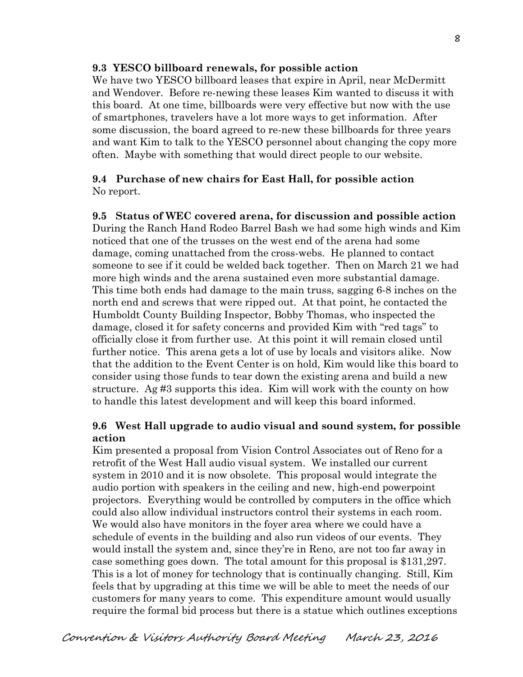## **9.3 YESCO billboard renewals, for possible action**

We have two YESCO billboard leases that expire in April, near McDermitt and Wendover. Before re-newing these leases Kim wanted to discuss it with this board. At one time, billboards were very effective but now with the use of smartphones, travelers have a lot more ways to get information. After some discussion, the board agreed to re-new these billboards for three years and want Kim to talk to the YESCO personnel about changing the copy more often. Maybe with something that would direct people to our website.

## **9.4 Purchase of new chairs for East Hall, for possible action**  No report.

## **9.5 Status of WEC covered arena, for discussion and possible action**

 During the Ranch Hand Rodeo Barrel Bash we had some high winds and Kim noticed that one of the trusses on the west end of the arena had some damage, coming unattached from the cross-webs. He planned to contact someone to see if it could be welded back together. Then on March 21 we had more high winds and the arena sustained even more substantial damage. This time both ends had damage to the main truss, sagging 6-8 inches on the north end and screws that were ripped out. At that point, he contacted the Humboldt County Building Inspector, Bobby Thomas, who inspected the damage, closed it for safety concerns and provided Kim with "red tags" to officially close it from further use. At this point it will remain closed until further notice. This arena gets a lot of use by locals and visitors alike. Now that the addition to the Event Center is on hold, Kim would like this board to consider using those funds to tear down the existing arena and build a new structure. Ag #3 supports this idea. Kim will work with the county on how to handle this latest development and will keep this board informed.

# **9.6 West Hall upgrade to audio visual and sound system, for possible action**

Kim presented a proposal from Vision Control Associates out of Reno for a retrofit of the West Hall audio visual system. We installed our current system in 2010 and it is now obsolete. This proposal would integrate the audio portion with speakers in the ceiling and new, high-end powerpoint projectors. Everything would be controlled by computers in the office which could also allow individual instructors control their systems in each room. We would also have monitors in the foyer area where we could have a schedule of events in the building and also run videos of our events. They would install the system and, since they're in Reno, are not too far away in case something goes down. The total amount for this proposal is \$131,297. This is a lot of money for technology that is continually changing. Still, Kim feels that by upgrading at this time we will be able to meet the needs of our customers for many years to come. This expenditure amount would usually require the formal bid process but there is a statue which outlines exceptions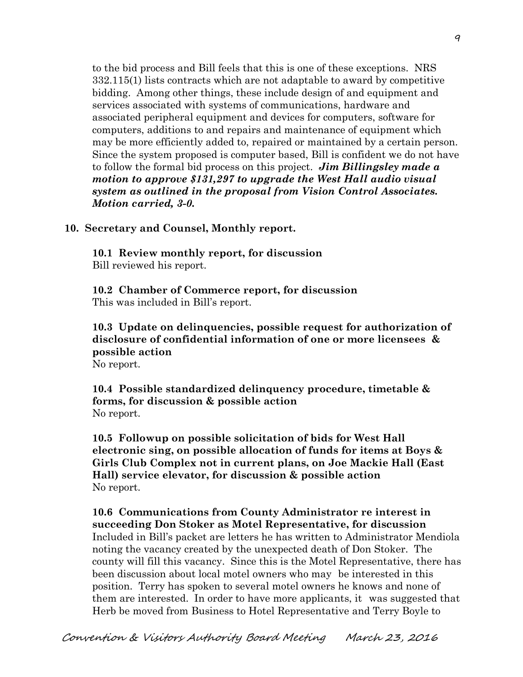to the bid process and Bill feels that this is one of these exceptions. NRS 332.115(1) lists contracts which are not adaptable to award by competitive bidding. Among other things, these include design of and equipment and services associated with systems of communications, hardware and associated peripheral equipment and devices for computers, software for computers, additions to and repairs and maintenance of equipment which may be more efficiently added to, repaired or maintained by a certain person. Since the system proposed is computer based, Bill is confident we do not have to follow the formal bid process on this project. *Jim Billingsley made a motion to approve \$131,297 to upgrade the West Hall audio visual system as outlined in the proposal from Vision Control Associates. Motion carried, 3-0.* 

**10. Secretary and Counsel, Monthly report.** 

**10.1 Review monthly report, for discussion**  Bill reviewed his report.

**10.2 Chamber of Commerce report, for discussion**  This was included in Bill's report.

**10.3 Update on delinquencies, possible request for authorization of disclosure of confidential information of one or more licensees & possible action**  No report.

**10.4 Possible standardized delinquency procedure, timetable & forms, for discussion & possible action**  No report.

**10.5 Followup on possible solicitation of bids for West Hall electronic sing, on possible allocation of funds for items at Boys & Girls Club Complex not in current plans, on Joe Mackie Hall (East Hall) service elevator, for discussion & possible action**  No report.

**10.6 Communications from County Administrator re interest in succeeding Don Stoker as Motel Representative, for discussion**  Included in Bill's packet are letters he has written to Administrator Mendiola noting the vacancy created by the unexpected death of Don Stoker. The county will fill this vacancy. Since this is the Motel Representative, there has been discussion about local motel owners who may be interested in this position. Terry has spoken to several motel owners he knows and none of them are interested. In order to have more applicants, it was suggested that Herb be moved from Business to Hotel Representative and Terry Boyle to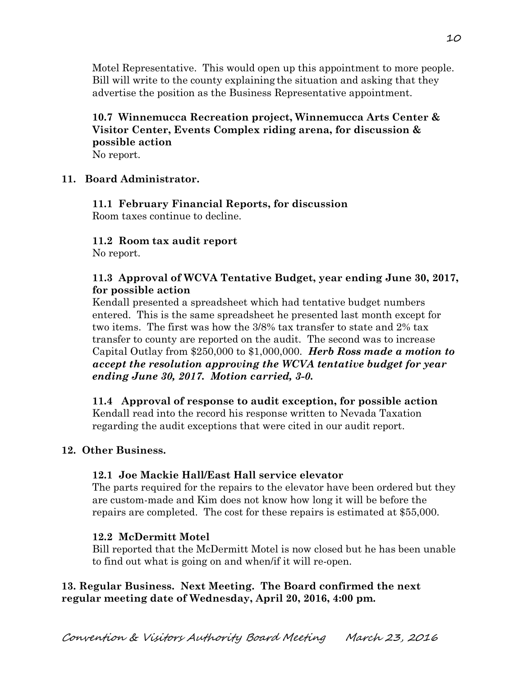Motel Representative. This would open up this appointment to more people. Bill will write to the county explaining the situation and asking that they advertise the position as the Business Representative appointment.

## **10.7 Winnemucca Recreation project, Winnemucca Arts Center & Visitor Center, Events Complex riding arena, for discussion & possible action**  No report.

## **11. Board Administrator.**

# **11.1 February Financial Reports, for discussion**

Room taxes continue to decline.

## **11.2 Room tax audit report**

No report.

# **11.3 Approval of WCVA Tentative Budget, year ending June 30, 2017, for possible action**

Kendall presented a spreadsheet which had tentative budget numbers entered. This is the same spreadsheet he presented last month except for two items. The first was how the 3/8% tax transfer to state and 2% tax transfer to county are reported on the audit. The second was to increase Capital Outlay from \$250,000 to \$1,000,000. *Herb Ross made a motion to accept the resolution approving the WCVA tentative budget for year ending June 30, 2017. Motion carried, 3-0.*

#### **11.4 Approval of response to audit exception, for possible action**  Kendall read into the record his response written to Nevada Taxation regarding the audit exceptions that were cited in our audit report.

# **12. Other Business.**

# **12.1 Joe Mackie Hall/East Hall service elevator**

The parts required for the repairs to the elevator have been ordered but they are custom-made and Kim does not know how long it will be before the repairs are completed. The cost for these repairs is estimated at \$55,000.

## **12.2 McDermitt Motel**

Bill reported that the McDermitt Motel is now closed but he has been unable to find out what is going on and when/if it will re-open.

# **13. Regular Business. Next Meeting. The Board confirmed the next regular meeting date of Wednesday, April 20, 2016, 4:00 pm.**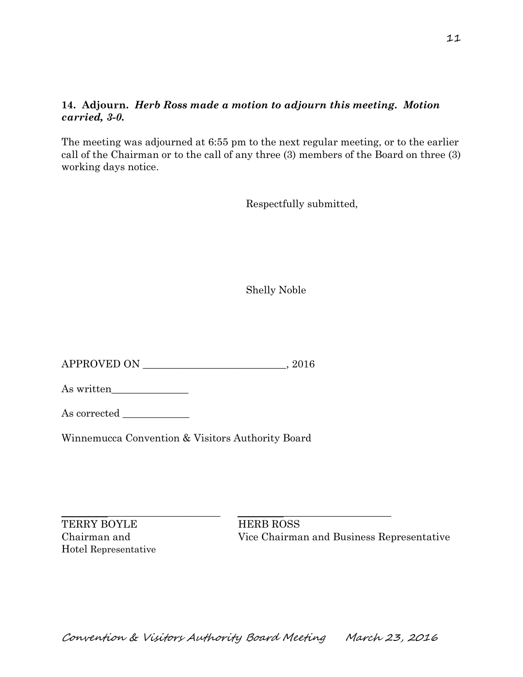# **14. Adjourn.** *Herb Ross made a motion to adjourn this meeting. Motion carried, 3-0.*

The meeting was adjourned at 6:55 pm to the next regular meeting, or to the earlier call of the Chairman or to the call of any three (3) members of the Board on three (3) working days notice.

Respectfully submitted,

Shelly Noble

APPROVED ON \_\_\_\_\_\_\_\_\_\_\_\_\_\_\_\_\_\_\_\_\_\_\_\_\_\_\_\_, 2016

As written\_\_\_\_\_\_\_\_\_\_\_\_\_\_\_

As corrected \_\_\_\_\_\_\_\_\_\_\_\_\_

Winnemucca Convention & Visitors Authority Board

TERRY BOYLE HERB ROSS Hotel Representative

 $\_$  , and the set of the set of the set of the set of the set of the set of the set of the set of the set of the set of the set of the set of the set of the set of the set of the set of the set of the set of the set of th Chairman and Vice Chairman and Business Representative